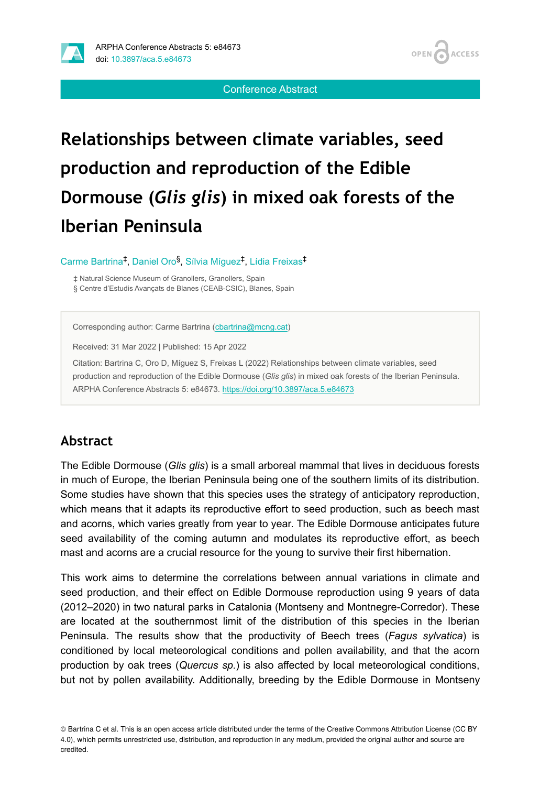

Conference Abstract

# **Relationships between climate variables, seed production and reproduction of the Edible Dormouse (***Glis glis***) in mixed oak forests of the Iberian Peninsula**

Carme Bartrina<sup>‡</sup>, Daniel Oro<sup>§</sup>, Sílvia Míguez<sup>‡</sup>, Lídia Freixas<sup>‡</sup>

‡ Natural Science Museum of Granollers, Granollers, Spain § Centre d'Estudis Avançats de Blanes (CEAB-CSIC), Blanes, Spain

Corresponding author: Carme Bartrina [\(cbartrina@mcng.cat](mailto:cbartrina@mcng.cat))

Received: 31 Mar 2022 | Published: 15 Apr 2022

Citation: Bartrina C, Oro D, Míguez S, Freixas L (2022) Relationships between climate variables, seed production and reproduction of the Edible Dormouse (*Glis glis*) in mixed oak forests of the Iberian Peninsula. ARPHA Conference Abstracts 5: e84673. <https://doi.org/10.3897/aca.5.e84673>

#### **Abstract**

The Edible Dormouse (*Glis glis*) is a small arboreal mammal that lives in deciduous forests in much of Europe, the Iberian Peninsula being one of the southern limits of its distribution. Some studies have shown that this species uses the strategy of anticipatory reproduction, which means that it adapts its reproductive effort to seed production, such as beech mast and acorns, which varies greatly from year to year. The Edible Dormouse anticipates future seed availability of the coming autumn and modulates its reproductive effort, as beech mast and acorns are a crucial resource for the young to survive their first hibernation.

This work aims to determine the correlations between annual variations in climate and seed production, and their effect on Edible Dormouse reproduction using 9 years of data (2012–2020) in two natural parks in Catalonia (Montseny and Montnegre-Corredor). These are located at the southernmost limit of the distribution of this species in the Iberian Peninsula. The results show that the productivity of Beech trees (*Fagus sylvatica*) is conditioned by local meteorological conditions and pollen availability, and that the acorn production by oak trees (*Quercus sp.*) is also affected by local meteorological conditions, but not by pollen availability. Additionally, breeding by the Edible Dormouse in Montseny

<sup>©</sup> Bartrina C et al. This is an open access article distributed under the terms of the Creative Commons Attribution License (CC BY 4.0), which permits unrestricted use, distribution, and reproduction in any medium, provided the original author and source are credited.